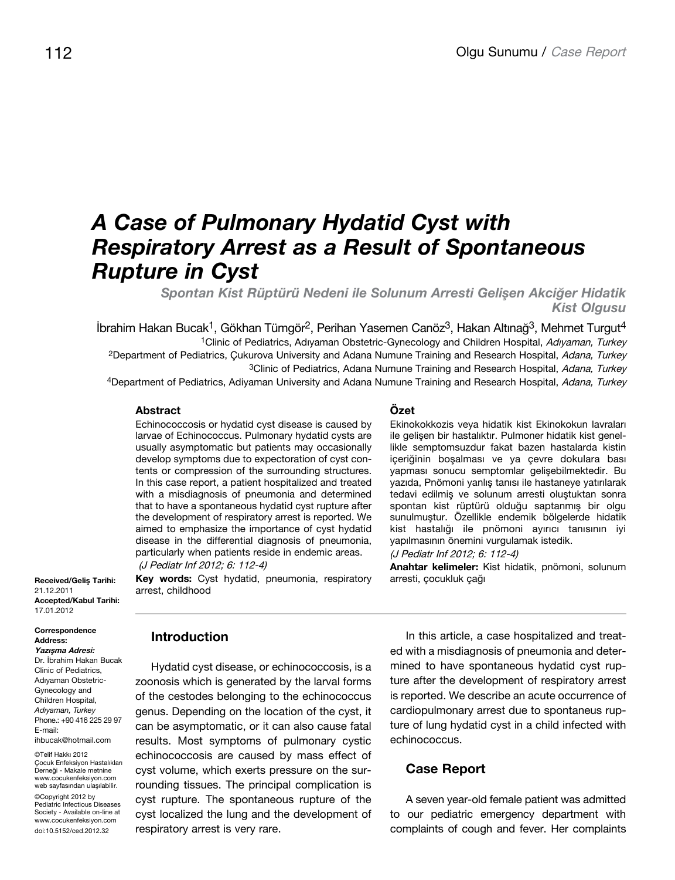# *A Case of Pulmonary Hydatid Cyst with Respiratory Arrest as a Result of Spontaneous Rupture in Cyst*

*Spontan Kist Rüptürü Nedeni ile Solunum Arresti Gelişen Akciğer Hidatik Kist Olgusu*

 $i$ brahim Hakan Bucak<sup>1</sup>, Gökhan Tümgör<sup>2</sup>, Perihan Yasemen Canöz<sup>3</sup>, Hakan Altınağ<sup>3</sup>, Mehmet Turgut<sup>4</sup> <sup>1</sup>Clinic of Pediatrics, Adıyaman Obstetric-Gynecology and Children Hospital, Adıyaman, Turkey <sup>2</sup>Department of Pediatrics, Çukurova University and Adana Numune Training and Research Hospital, Adana, Turkey <sup>3</sup>Clinic of Pediatrics, Adana Numune Training and Research Hospital, Adana, Turkey

4Department of Pediatrics, Adiyaman University and Adana Numune Training and Research Hospital, Adana, Turkey

### **Abstract**

Echinococcosis or hydatid cyst disease is caused by larvae of Echinococcus. Pulmonary hydatid cysts are usually asymptomatic but patients may occasionally develop symptoms due to expectoration of cyst contents or compression of the surrounding structures. In this case report, a patient hospitalized and treated with a misdiagnosis of pneumonia and determined that to have a spontaneous hydatid cyst rupture after the development of respiratory arrest is reported. We aimed to emphasize the importance of cyst hydatid disease in the differential diagnosis of pneumonia, particularly when patients reside in endemic areas. (J Pediatr Inf 2012; 6: 112-4)

**Key words:** Cyst hydatid, pneumonia, respiratory arrest, childhood

#### **Özet**

Ekinokokkozis veya hidatik kist Ekinokokun lavraları ile gelişen bir hastalıktır. Pulmoner hidatik kist genellikle semptomsuzdur fakat bazen hastalarda kistin içeriğinin boşalması ve ya çevre dokulara bası yapması sonucu semptomlar gelişebilmektedir. Bu yazıda, Pnömoni yanlış tanısı ile hastaneye yatırılarak tedavi edilmiş ve solunum arresti oluştuktan sonra spontan kist rüptürü olduğu saptanmış bir olgu sunulmuştur. Özellikle endemik bölgelerde hidatik kist hastalığı ile pnömoni ayırıcı tanısının iyi yapılmasının önemini vurgulamak istedik.

(J Pediatr Inf 2012; 6: 112-4)

**Anahtar kelimeler:** Kist hidatik, pnömoni, solunum arresti, çocukluk çağı

**Received/Geliş Tarihi:** 21.12.2011 **Accepted/Kabul Tarihi:** 17.01.2012

Correspondence Address: **Yazışma Adresi:** Dr. İbrahim Hakan Bucak Clinic of Pediatrics, Adıyaman Obstetric-Gynecology and Children Hospital, *Adıyaman, Turkey* Phone.: +90 416 225 29 97 E-mail: ihbucak@hotmail.com

©Telif Hakkı 2012 Çocuk Enfeksiyon Hastalıkları Derneği - Makale metnine www.cocukenfeksiyon.com web sayfasından ulaşılabilir. ©Copyright 2012 by Pediatric Infectious Diseases Society - Available on-line at www.cocukenfeksiyon.com doi:10.5152/ced.2012.32

**Introduction**

Hydatid cyst disease, or echinococcosis, is a zoonosis which is generated by the larval forms of the cestodes belonging to the echinococcus genus. Depending on the location of the cyst, it can be asymptomatic, or it can also cause fatal results. Most symptoms of pulmonary cystic echinococcosis are caused by mass effect of cyst volume, which exerts pressure on the surrounding tissues. The principal complication is cyst rupture. The spontaneous rupture of the cyst localized the lung and the development of respiratory arrest is very rare.

In this article, a case hospitalized and treated with a misdiagnosis of pneumonia and determined to have spontaneous hydatid cyst rupture after the development of respiratory arrest is reported. We describe an acute occurrence of cardiopulmonary arrest due to spontaneus rupture of lung hydatid cyst in a child infected with echinococcus.

#### **Case Report**

A seven year-old female patient was admitted to our pediatric emergency department with complaints of cough and fever. Her complaints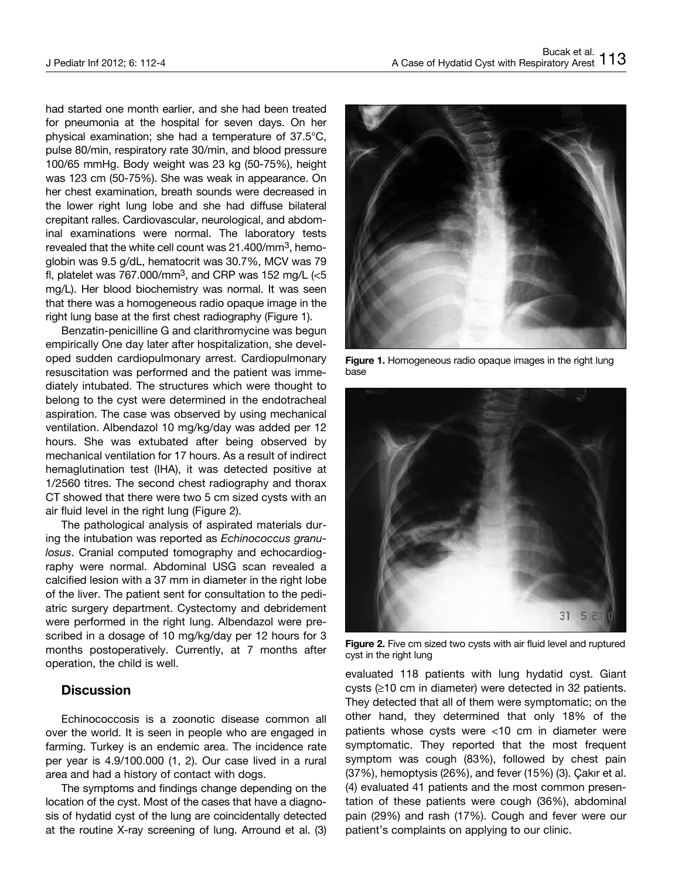had started one month earlier, and she had been treated for pneumonia at the hospital for seven days. On her physical examination; she had a temperature of 37.5°C, pulse 80/min, respiratory rate 30/min, and blood pressure 100/65 mmHg. Body weight was 23 kg (50-75%), height was 123 cm (50-75%). She was weak in appearance. On her chest examination, breath sounds were decreased in the lower right lung lobe and she had diffuse bilateral crepitant ralles. Cardiovascular, neurological, and abdominal examinations were normal. The laboratory tests revealed that the white cell count was 21.400/mm3, hemoglobin was 9.5 g/dL, hematocrit was 30.7%, MCV was 79 fl, platelet was  $767.000/\text{mm}^3$ , and CRP was 152 mg/L (<5 mg/L). Her blood biochemistry was normal. It was seen that there was a homogeneous radio opaque image in the right lung base at the first chest radiography (Figure 1).

Benzatin-penicilline G and clarithromycine was begun empirically One day later after hospitalization, she developed sudden cardiopulmonary arrest. Cardiopulmonary resuscitation was performed and the patient was immediately intubated. The structures which were thought to belong to the cyst were determined in the endotracheal aspiration. The case was observed by using mechanical ventilation. Albendazol 10 mg/kg/day was added per 12 hours. She was extubated after being observed by mechanical ventilation for 17 hours. As a result of indirect hemaglutination test (IHA), it was detected positive at 1/2560 titres. The second chest radiography and thorax CT showed that there were two 5 cm sized cysts with an air fluid level in the right lung (Figure 2).

The pathological analysis of aspirated materials during the intubation was reported as Echinococcus granulosus. Cranial computed tomography and echocardiography were normal. Abdominal USG scan revealed a calcified lesion with a 37 mm in diameter in the right lobe of the liver. The patient sent for consultation to the pediatric surgery department. Cystectomy and debridement were performed in the right lung. Albendazol were prescribed in a dosage of 10 mg/kg/day per 12 hours for 3 months postoperatively. Currently, at 7 months after operation, the child is well.

## **Discussion**

Echinococcosis is a zoonotic disease common all over the world. It is seen in people who are engaged in farming. Turkey is an endemic area. The incidence rate per year is 4.9/100.000 (1, 2). Our case lived in a rural area and had a history of contact with dogs.

The symptoms and findings change depending on the location of the cyst. Most of the cases that have a diagnosis of hydatid cyst of the lung are coincidentally detected at the routine X-ray screening of lung. Arround et al. (3)



**Figure 1.** Homogeneous radio opaque images in the right lung base



Figure 2. Five cm sized two cysts with air fluid level and ruptured cyst in the right lung

evaluated 118 patients with lung hydatid cyst. Giant cysts (≥10 cm in diameter) were detected in 32 patients. They detected that all of them were symptomatic; on the other hand, they determined that only 18% of the patients whose cysts were <10 cm in diameter were symptomatic. They reported that the most frequent symptom was cough (83%), followed by chest pain (37%), hemoptysis (26%), and fever (15%) (3). Çakır et al. (4) evaluated 41 patients and the most common presentation of these patients were cough (36%), abdominal pain (29%) and rash (17%). Cough and fever were our patient's complaints on applying to our clinic.